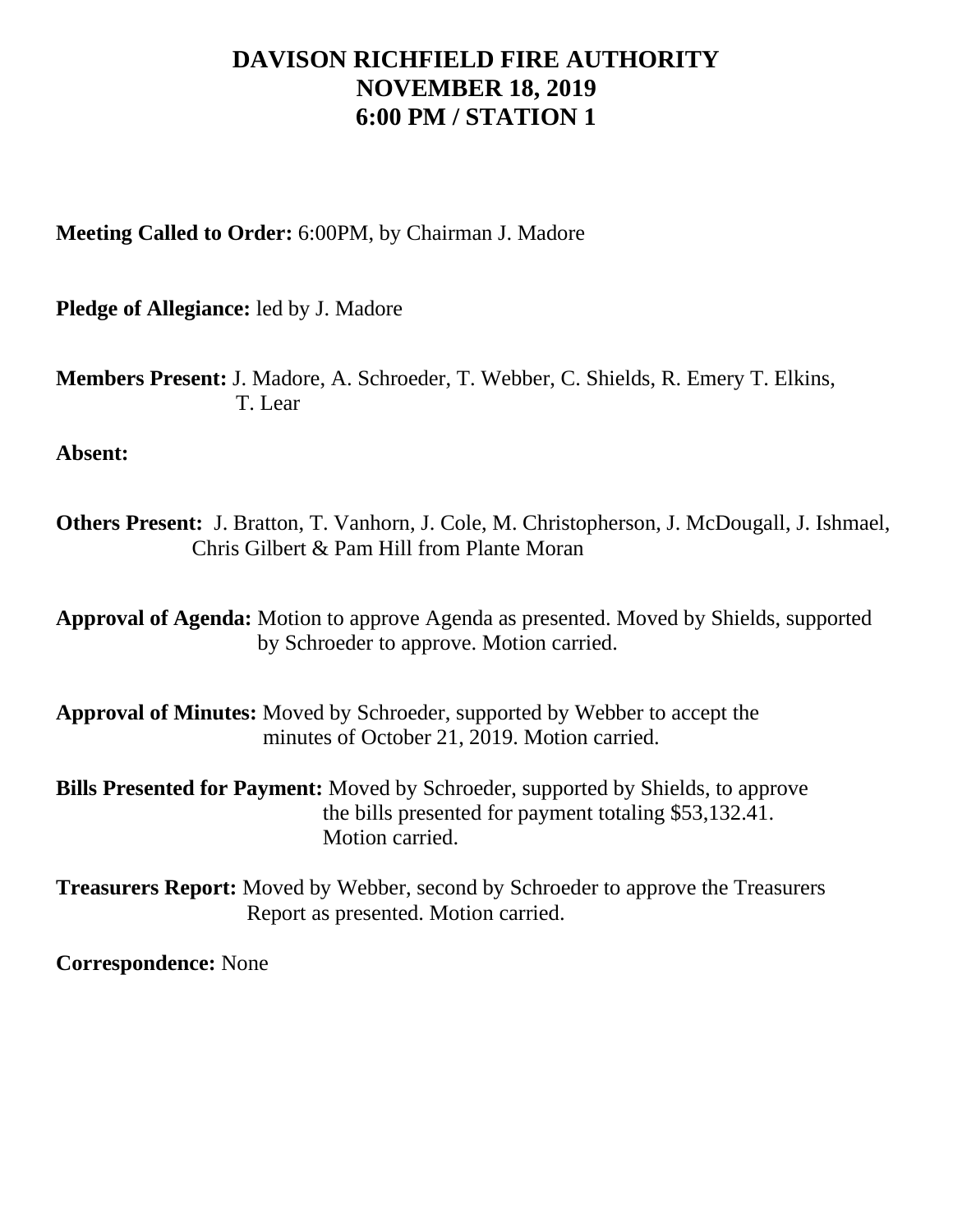## **DAVISON RICHFIELD FIRE AUTHORITY NOVEMBER 18, 2019 6:00 PM / STATION 1**

**Meeting Called to Order:** 6:00PM, by Chairman J. Madore

**Pledge of Allegiance:** led by J. Madore

**Members Present:** J. Madore, A. Schroeder, T. Webber, C. Shields, R. Emery T. Elkins, T. Lear

**Absent:**

**Others Present:** J. Bratton, T. Vanhorn, J. Cole, M. Christopherson, J. McDougall, J. Ishmael, Chris Gilbert & Pam Hill from Plante Moran

**Approval of Agenda:** Motion to approve Agenda as presented. Moved by Shields, supported by Schroeder to approve. Motion carried.

**Approval of Minutes:** Moved by Schroeder, supported by Webber to accept the minutes of October 21, 2019. Motion carried.

**Bills Presented for Payment:** Moved by Schroeder, supported by Shields, to approve the bills presented for payment totaling \$53,132.41. Motion carried.

**Treasurers Report:** Moved by Webber, second by Schroeder to approve the Treasurers Report as presented. Motion carried.

**Correspondence:** None